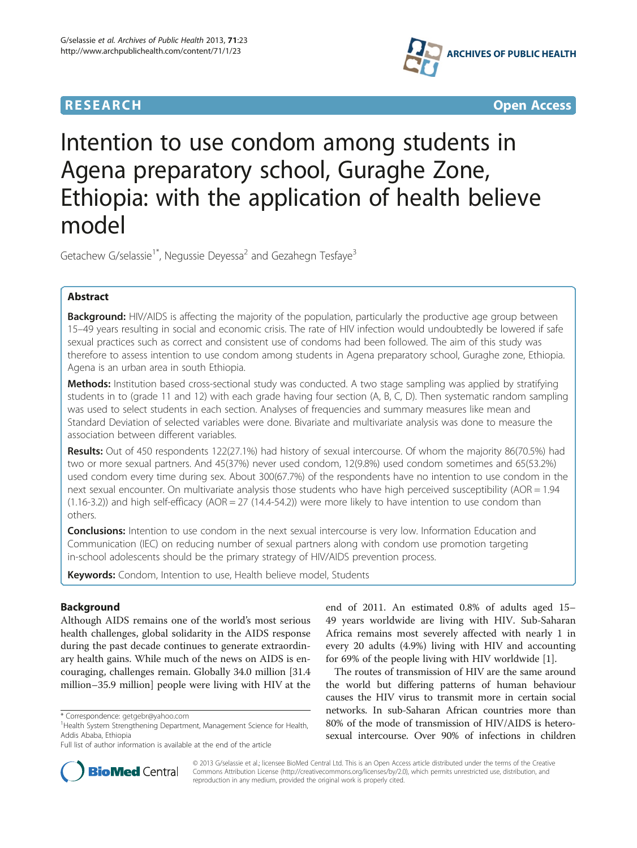



# Intention to use condom among students in Agena preparatory school, Guraghe Zone, Ethiopia: with the application of health believe model

Getachew G/selassie<sup>1\*</sup>, Negussie Deyessa<sup>2</sup> and Gezahegn Tesfaye<sup>3</sup>

# Abstract

Background: HIV/AIDS is affecting the majority of the population, particularly the productive age group between 15–49 years resulting in social and economic crisis. The rate of HIV infection would undoubtedly be lowered if safe sexual practices such as correct and consistent use of condoms had been followed. The aim of this study was therefore to assess intention to use condom among students in Agena preparatory school, Guraghe zone, Ethiopia. Agena is an urban area in south Ethiopia.

Methods: Institution based cross-sectional study was conducted. A two stage sampling was applied by stratifying students in to (grade 11 and 12) with each grade having four section (A, B, C, D). Then systematic random sampling was used to select students in each section. Analyses of frequencies and summary measures like mean and Standard Deviation of selected variables were done. Bivariate and multivariate analysis was done to measure the association between different variables.

Results: Out of 450 respondents 122(27.1%) had history of sexual intercourse. Of whom the majority 86(70.5%) had two or more sexual partners. And 45(37%) never used condom, 12(9.8%) used condom sometimes and 65(53.2%) used condom every time during sex. About 300(67.7%) of the respondents have no intention to use condom in the next sexual encounter. On multivariate analysis those students who have high perceived susceptibility (AOR = 1.94  $(1.16-3.2)$ ) and high self-efficacy  $(AOR = 27 (14.4-54.2))$  were more likely to have intention to use condom than others.

**Conclusions:** Intention to use condom in the next sexual intercourse is very low. Information Education and Communication (IEC) on reducing number of sexual partners along with condom use promotion targeting in-school adolescents should be the primary strategy of HIV/AIDS prevention process.

Keywords: Condom, Intention to use, Health believe model, Students

# Background

Although AIDS remains one of the world's most serious health challenges, global solidarity in the AIDS response during the past decade continues to generate extraordinary health gains. While much of the news on AIDS is encouraging, challenges remain. Globally 34.0 million [31.4 million–35.9 million] people were living with HIV at the end of 2011. An estimated 0.8% of adults aged 15– 49 years worldwide are living with HIV. Sub-Saharan Africa remains most severely affected with nearly 1 in every 20 adults (4.9%) living with HIV and accounting for 69% of the people living with HIV worldwide [[1\]](#page-7-0).

The routes of transmission of HIV are the same around the world but differing patterns of human behaviour causes the HIV virus to transmit more in certain social networks. In sub-Saharan African countries more than 80% of the mode of transmission of HIV/AIDS is heterosexual intercourse. Over 90% of infections in children



© 2013 G/selassie et al.; licensee BioMed Central Ltd. This is an Open Access article distributed under the terms of the Creative Commons Attribution License [\(http://creativecommons.org/licenses/by/2.0\)](http://creativecommons.org/licenses/by/2.0), which permits unrestricted use, distribution, and reproduction in any medium, provided the original work is properly cited.

<sup>\*</sup> Correspondence: [getgebr@yahoo.com](mailto:getgebr@yahoo.com) <sup>1</sup>

<sup>&</sup>lt;sup>1</sup> Health System Strengthening Department, Management Science for Health, Addis Ababa, Ethiopia

Full list of author information is available at the end of the article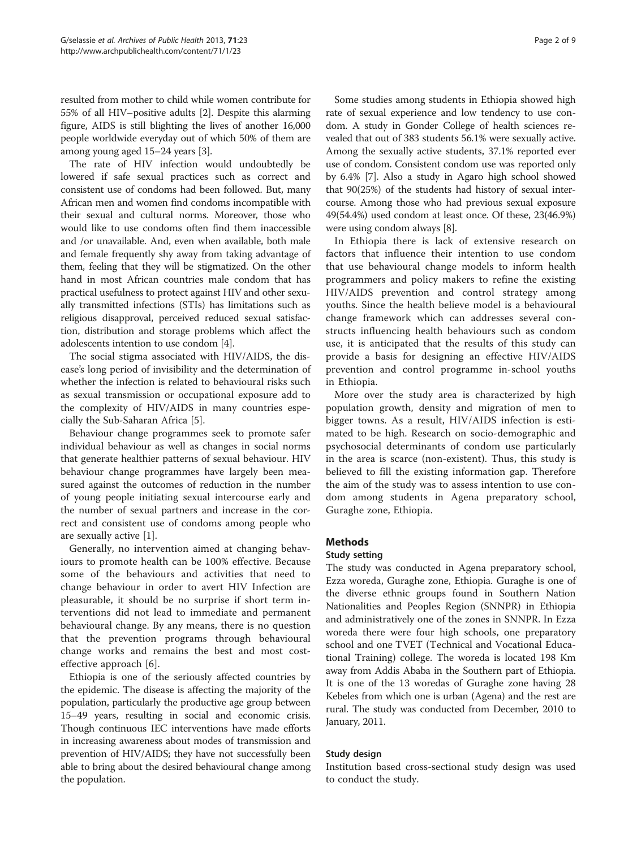resulted from mother to child while women contribute for 55% of all HIV–positive adults [[2](#page-7-0)]. Despite this alarming figure, AIDS is still blighting the lives of another 16,000 people worldwide everyday out of which 50% of them are among young aged 15–24 years [[3](#page-7-0)].

The rate of HIV infection would undoubtedly be lowered if safe sexual practices such as correct and consistent use of condoms had been followed. But, many African men and women find condoms incompatible with their sexual and cultural norms. Moreover, those who would like to use condoms often find them inaccessible and /or unavailable. And, even when available, both male and female frequently shy away from taking advantage of them, feeling that they will be stigmatized. On the other hand in most African countries male condom that has practical usefulness to protect against HIV and other sexually transmitted infections (STIs) has limitations such as religious disapproval, perceived reduced sexual satisfaction, distribution and storage problems which affect the adolescents intention to use condom [\[4](#page-7-0)].

The social stigma associated with HIV/AIDS, the disease's long period of invisibility and the determination of whether the infection is related to behavioural risks such as sexual transmission or occupational exposure add to the complexity of HIV/AIDS in many countries especially the Sub-Saharan Africa [[5](#page-7-0)].

Behaviour change programmes seek to promote safer individual behaviour as well as changes in social norms that generate healthier patterns of sexual behaviour. HIV behaviour change programmes have largely been measured against the outcomes of reduction in the number of young people initiating sexual intercourse early and the number of sexual partners and increase in the correct and consistent use of condoms among people who are sexually active [[1\]](#page-7-0).

Generally, no intervention aimed at changing behaviours to promote health can be 100% effective. Because some of the behaviours and activities that need to change behaviour in order to avert HIV Infection are pleasurable, it should be no surprise if short term interventions did not lead to immediate and permanent behavioural change. By any means, there is no question that the prevention programs through behavioural change works and remains the best and most costeffective approach [\[6](#page-7-0)].

Ethiopia is one of the seriously affected countries by the epidemic. The disease is affecting the majority of the population, particularly the productive age group between 15–49 years, resulting in social and economic crisis. Though continuous IEC interventions have made efforts in increasing awareness about modes of transmission and prevention of HIV/AIDS; they have not successfully been able to bring about the desired behavioural change among the population.

Some studies among students in Ethiopia showed high rate of sexual experience and low tendency to use condom. A study in Gonder College of health sciences revealed that out of 383 students 56.1% were sexually active. Among the sexually active students, 37.1% reported ever use of condom. Consistent condom use was reported only by 6.4% [\[7](#page-7-0)]. Also a study in Agaro high school showed that 90(25%) of the students had history of sexual intercourse. Among those who had previous sexual exposure 49(54.4%) used condom at least once. Of these, 23(46.9%) were using condom always [\[8](#page-8-0)].

In Ethiopia there is lack of extensive research on factors that influence their intention to use condom that use behavioural change models to inform health programmers and policy makers to refine the existing HIV/AIDS prevention and control strategy among youths. Since the health believe model is a behavioural change framework which can addresses several constructs influencing health behaviours such as condom use, it is anticipated that the results of this study can provide a basis for designing an effective HIV/AIDS prevention and control programme in-school youths in Ethiopia.

More over the study area is characterized by high population growth, density and migration of men to bigger towns. As a result, HIV/AIDS infection is estimated to be high. Research on socio-demographic and psychosocial determinants of condom use particularly in the area is scarce (non-existent). Thus, this study is believed to fill the existing information gap. Therefore the aim of the study was to assess intention to use condom among students in Agena preparatory school, Guraghe zone, Ethiopia.

# Methods

# Study setting

The study was conducted in Agena preparatory school, Ezza woreda, Guraghe zone, Ethiopia. Guraghe is one of the diverse ethnic groups found in Southern Nation Nationalities and Peoples Region (SNNPR) in Ethiopia and administratively one of the zones in SNNPR. In Ezza woreda there were four high schools, one preparatory school and one TVET (Technical and Vocational Educational Training) college. The woreda is located 198 Km away from Addis Ababa in the Southern part of Ethiopia. It is one of the 13 woredas of Guraghe zone having 28 Kebeles from which one is urban (Agena) and the rest are rural. The study was conducted from December, 2010 to January, 2011.

# Study design

Institution based cross-sectional study design was used to conduct the study.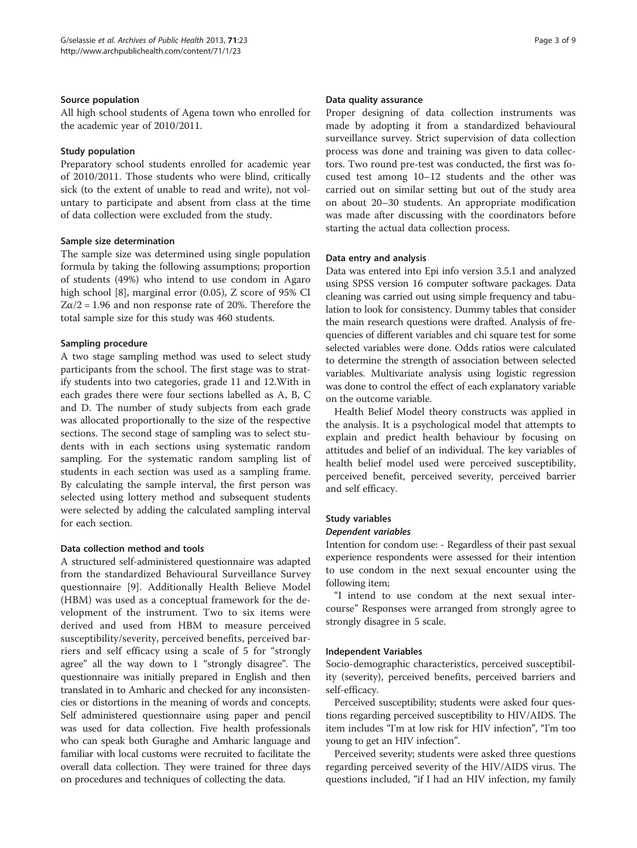## Source population

All high school students of Agena town who enrolled for the academic year of 2010/2011.

## Study population

Preparatory school students enrolled for academic year of 2010/2011. Those students who were blind, critically sick (to the extent of unable to read and write), not voluntary to participate and absent from class at the time of data collection were excluded from the study.

## Sample size determination

The sample size was determined using single population formula by taking the following assumptions; proportion of students (49%) who intend to use condom in Agaro high school [\[8](#page-8-0)], marginal error (0.05), Z score of 95% CI  $Z\alpha/2 = 1.96$  and non response rate of 20%. Therefore the total sample size for this study was 460 students.

# Sampling procedure

A two stage sampling method was used to select study participants from the school. The first stage was to stratify students into two categories, grade 11 and 12.With in each grades there were four sections labelled as A, B, C and D. The number of study subjects from each grade was allocated proportionally to the size of the respective sections. The second stage of sampling was to select students with in each sections using systematic random sampling. For the systematic random sampling list of students in each section was used as a sampling frame. By calculating the sample interval, the first person was selected using lottery method and subsequent students were selected by adding the calculated sampling interval for each section.

# Data collection method and tools

A structured self-administered questionnaire was adapted from the standardized Behavioural Surveillance Survey questionnaire [\[9](#page-8-0)]. Additionally Health Believe Model (HBM) was used as a conceptual framework for the development of the instrument. Two to six items were derived and used from HBM to measure perceived susceptibility/severity, perceived benefits, perceived barriers and self efficacy using a scale of 5 for "strongly agree" all the way down to 1 "strongly disagree". The questionnaire was initially prepared in English and then translated in to Amharic and checked for any inconsistencies or distortions in the meaning of words and concepts. Self administered questionnaire using paper and pencil was used for data collection. Five health professionals who can speak both Guraghe and Amharic language and familiar with local customs were recruited to facilitate the overall data collection. They were trained for three days on procedures and techniques of collecting the data.

#### Data quality assurance

Proper designing of data collection instruments was made by adopting it from a standardized behavioural surveillance survey. Strict supervision of data collection process was done and training was given to data collectors. Two round pre-test was conducted, the first was focused test among 10–12 students and the other was carried out on similar setting but out of the study area on about 20–30 students. An appropriate modification was made after discussing with the coordinators before starting the actual data collection process.

## Data entry and analysis

Data was entered into Epi info version 3.5.1 and analyzed using SPSS version 16 computer software packages. Data cleaning was carried out using simple frequency and tabulation to look for consistency. Dummy tables that consider the main research questions were drafted. Analysis of frequencies of different variables and chi square test for some selected variables were done. Odds ratios were calculated to determine the strength of association between selected variables. Multivariate analysis using logistic regression was done to control the effect of each explanatory variable on the outcome variable.

Health Belief Model theory constructs was applied in the analysis. It is a psychological model that attempts to explain and predict health behaviour by focusing on attitudes and belief of an individual. The key variables of health belief model used were perceived susceptibility, perceived benefit, perceived severity, perceived barrier and self efficacy.

# Study variables

## Dependent variables

Intention for condom use: - Regardless of their past sexual experience respondents were assessed for their intention to use condom in the next sexual encounter using the following item;

"I intend to use condom at the next sexual intercourse" Responses were arranged from strongly agree to strongly disagree in 5 scale.

## Independent Variables

Socio-demographic characteristics, perceived susceptibility (severity), perceived benefits, perceived barriers and self-efficacy.

Perceived susceptibility; students were asked four questions regarding perceived susceptibility to HIV/AIDS. The item includes "I'm at low risk for HIV infection", "I'm too young to get an HIV infection".

Perceived severity; students were asked three questions regarding perceived severity of the HIV/AIDS virus. The questions included, "if I had an HIV infection, my family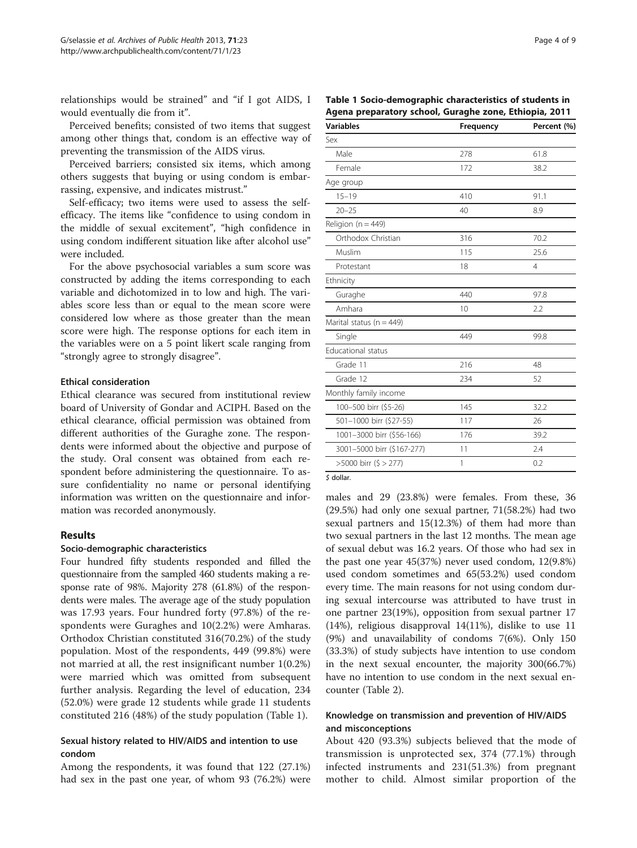relationships would be strained" and "if I got AIDS, I would eventually die from it".

Perceived benefits; consisted of two items that suggest among other things that, condom is an effective way of preventing the transmission of the AIDS virus.

Perceived barriers; consisted six items, which among others suggests that buying or using condom is embarrassing, expensive, and indicates mistrust."

Self-efficacy; two items were used to assess the selfefficacy. The items like "confidence to using condom in the middle of sexual excitement", "high confidence in using condom indifferent situation like after alcohol use" were included.

For the above psychosocial variables a sum score was constructed by adding the items corresponding to each variable and dichotomized in to low and high. The variables score less than or equal to the mean score were considered low where as those greater than the mean score were high. The response options for each item in the variables were on a 5 point likert scale ranging from "strongly agree to strongly disagree".

## Ethical consideration

Ethical clearance was secured from institutional review board of University of Gondar and ACIPH. Based on the ethical clearance, official permission was obtained from different authorities of the Guraghe zone. The respondents were informed about the objective and purpose of the study. Oral consent was obtained from each respondent before administering the questionnaire. To assure confidentiality no name or personal identifying information was written on the questionnaire and information was recorded anonymously.

## Results

## Socio-demographic characteristics

Four hundred fifty students responded and filled the questionnaire from the sampled 460 students making a response rate of 98%. Majority 278 (61.8%) of the respondents were males. The average age of the study population was 17.93 years. Four hundred forty (97.8%) of the respondents were Guraghes and 10(2.2%) were Amharas. Orthodox Christian constituted 316(70.2%) of the study population. Most of the respondents, 449 (99.8%) were not married at all, the rest insignificant number 1(0.2%) were married which was omitted from subsequent further analysis. Regarding the level of education, 234 (52.0%) were grade 12 students while grade 11 students constituted 216 (48%) of the study population (Table 1).

# Sexual history related to HIV/AIDS and intention to use condom

Among the respondents, it was found that 122 (27.1%) had sex in the past one year, of whom 93 (76.2%) were

Table 1 Socio-demographic characteristics of students in Agena preparatory school, Guraghe zone, Ethiopia, 2011

| <b>Variables</b>             | Frequency | Percent (%)    |  |
|------------------------------|-----------|----------------|--|
| Sex                          |           |                |  |
| Male                         | 278       | 61.8           |  |
| Female                       | 172       | 38.2           |  |
| Age group                    |           |                |  |
| $15 - 19$                    | 410       | 91.1           |  |
| $20 - 25$                    | 40        | 8.9            |  |
| Religion ( $n = 449$ )       |           |                |  |
| Orthodox Christian           | 316       | 70.2           |  |
| Muslim                       | 115       | 25.6           |  |
| Protestant                   | 18        | $\overline{4}$ |  |
| Ethnicity                    |           |                |  |
| Guraghe                      | 440       | 97.8           |  |
| Amhara                       | 10        | 2.2            |  |
| Marital status ( $n = 449$ ) |           |                |  |
| Single                       | 449       | 99.8           |  |
| <b>Educational status</b>    |           |                |  |
| Grade 11                     | 216       | 48             |  |
| Grade 12                     | 234       | 52             |  |
| Monthly family income        |           |                |  |
| 100-500 birr (\$5-26)        | 145       | 32.2           |  |
| 501-1000 birr (\$27-55)      | 117       | 26             |  |
| 1001-3000 birr (\$56-166)    | 176       | 39.2           |  |
| 3001-5000 birr (\$167-277)   | 11        | 2.4            |  |
| >5000 birr (\$ > 277)        | 1         | 0.2            |  |
|                              |           |                |  |

\$ dollar

males and 29 (23.8%) were females. From these, 36 (29.5%) had only one sexual partner, 71(58.2%) had two sexual partners and 15(12.3%) of them had more than two sexual partners in the last 12 months. The mean age of sexual debut was 16.2 years. Of those who had sex in the past one year 45(37%) never used condom, 12(9.8%) used condom sometimes and 65(53.2%) used condom every time. The main reasons for not using condom during sexual intercourse was attributed to have trust in one partner 23(19%), opposition from sexual partner 17 (14%), religious disapproval 14(11%), dislike to use 11 (9%) and unavailability of condoms 7(6%). Only 150 (33.3%) of study subjects have intention to use condom in the next sexual encounter, the majority 300(66.7%) have no intention to use condom in the next sexual encounter (Table [2](#page-4-0)).

# Knowledge on transmission and prevention of HIV/AIDS and misconceptions

About 420 (93.3%) subjects believed that the mode of transmission is unprotected sex, 374 (77.1%) through infected instruments and 231(51.3%) from pregnant mother to child. Almost similar proportion of the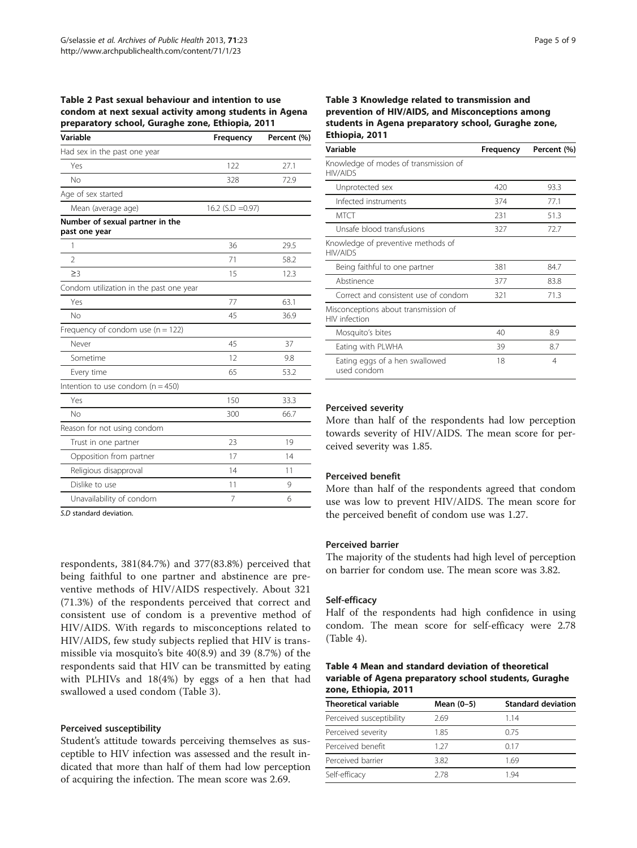<span id="page-4-0"></span>

| Table 2 Past sexual behaviour and intention to use     |
|--------------------------------------------------------|
| condom at next sexual activity among students in Agena |
| preparatory school, Guraghe zone, Ethiopia, 2011       |

| Variable                                         | Frequency           | Percent (%) |
|--------------------------------------------------|---------------------|-------------|
| Had sex in the past one year                     |                     |             |
| Yes                                              | 122                 | 27.1        |
| No                                               | 328                 | 72.9        |
| Age of sex started                               |                     |             |
| Mean (average age)                               | 16.2 $(S.D = 0.97)$ |             |
| Number of sexual partner in the<br>past one year |                     |             |
| 1                                                | 36                  | 29.5        |
| $\mathfrak{D}$                                   | 71                  | 58.2        |
| $\geq$ 3                                         | 15                  | 12.3        |
| Condom utilization in the past one year          |                     |             |
| Yes                                              | 77                  | 63.1        |
| No                                               | 45                  | 36.9        |
| Frequency of condom use $(n = 122)$              |                     |             |
| Never                                            | 45                  | 37          |
| Sometime                                         | 12                  | 9.8         |
| Every time                                       | 65                  | 53.2        |
| Intention to use condom ( $n = 450$ )            |                     |             |
| Yes                                              | 150                 | 33.3        |
| No                                               | 300                 | 66.7        |
| Reason for not using condom                      |                     |             |
| Trust in one partner                             | 23                  | 19          |
| Opposition from partner                          | 17                  | 14          |
| Religious disapproval                            | 14                  | 11          |
| Dislike to use                                   | 11                  | 9           |
| Unavailability of condom                         | 7                   | 6           |

S.D standard deviation.

respondents, 381(84.7%) and 377(83.8%) perceived that being faithful to one partner and abstinence are preventive methods of HIV/AIDS respectively. About 321 (71.3%) of the respondents perceived that correct and consistent use of condom is a preventive method of HIV/AIDS. With regards to misconceptions related to HIV/AIDS, few study subjects replied that HIV is transmissible via mosquito's bite 40(8.9) and 39 (8.7%) of the respondents said that HIV can be transmitted by eating with PLHIVs and 18(4%) by eggs of a hen that had swallowed a used condom (Table 3).

#### Perceived susceptibility

Student's attitude towards perceiving themselves as susceptible to HIV infection was assessed and the result indicated that more than half of them had low perception of acquiring the infection. The mean score was 2.69.

# Table 3 Knowledge related to transmission and prevention of HIV/AIDS, and Misconceptions among students in Agena preparatory school, Guraghe zone, Ethiopia, 2011

| Variable                                                 | Frequency | Percent (%) |  |
|----------------------------------------------------------|-----------|-------------|--|
| Knowledge of modes of transmission of<br><b>HIV/AIDS</b> |           |             |  |
| Unprotected sex                                          | 420       | 93.3        |  |
| Infected instruments                                     | 374       | 77.1        |  |
| <b>MTCT</b>                                              | 231       | 51.3        |  |
| Unsafe blood transfusions                                | 327       | 72.7        |  |
| Knowledge of preventive methods of<br><b>HIV/AIDS</b>    |           |             |  |
| Being faithful to one partner                            | 381       | 84.7        |  |
| Abstinence                                               | 377       | 83.8        |  |
| Correct and consistent use of condom                     | 321       | 71.3        |  |
| Misconceptions about transmission of<br>HIV infection    |           |             |  |
| Mosquito's bites                                         | 40        | 8.9         |  |
| Eating with PLWHA                                        | 39        | 8.7         |  |
| Eating eggs of a hen swallowed<br>used condom            | 18        | 4           |  |

# Perceived severity

More than half of the respondents had low perception towards severity of HIV/AIDS. The mean score for perceived severity was 1.85.

## Perceived benefit

More than half of the respondents agreed that condom use was low to prevent HIV/AIDS. The mean score for the perceived benefit of condom use was 1.27.

#### Perceived barrier

The majority of the students had high level of perception on barrier for condom use. The mean score was 3.82.

# Self-efficacy

Half of the respondents had high confidence in using condom. The mean score for self-efficacy were 2.78 (Table 4).

Table 4 Mean and standard deviation of theoretical variable of Agena preparatory school students, Guraghe zone, Ethiopia, 2011

| <b>Theoretical variable</b> | Mean $(0-5)$ | <b>Standard deviation</b> |
|-----------------------------|--------------|---------------------------|
| Perceived susceptibility    | 2.69         | 114                       |
| Perceived severity          | 1.85         | 0.75                      |
| Perceived benefit           | 1 27         | 0.17                      |
| Perceived barrier           | 3.82         | 1.69                      |
| Self-efficacy               | 278          | 1 94                      |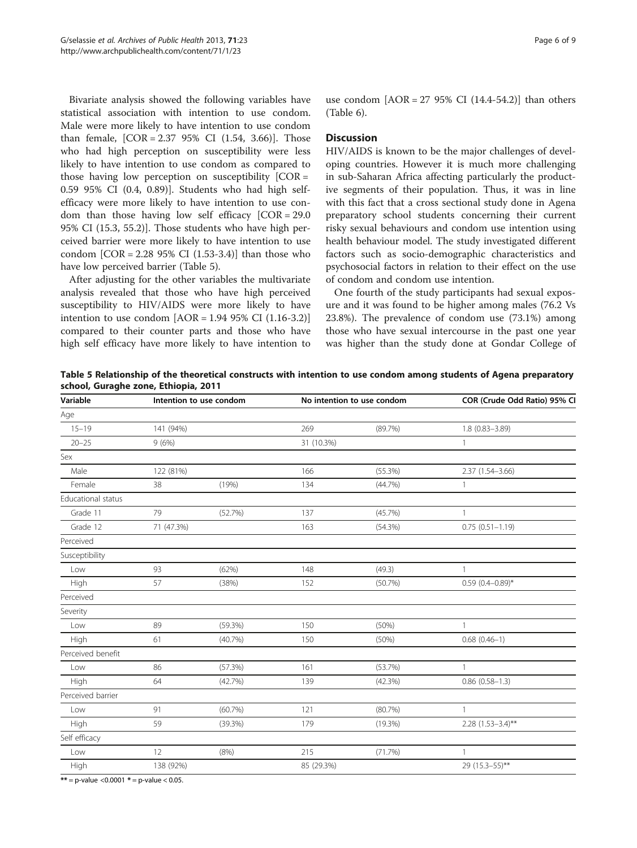Bivariate analysis showed the following variables have statistical association with intention to use condom. Male were more likely to have intention to use condom than female,  $[COR = 2.3795\% CI (1.54, 3.66)].$  Those who had high perception on susceptibility were less likely to have intention to use condom as compared to those having low perception on susceptibility  $[COR =$ 0.59 95% CI (0.4, 0.89)]. Students who had high selfefficacy were more likely to have intention to use condom than those having low self efficacy [COR = 29.0 95% CI (15.3, 55.2)]. Those students who have high perceived barrier were more likely to have intention to use condom  $[COR = 2.2895\% CI (1.53-3.4)]$  than those who have low perceived barrier (Table 5).

After adjusting for the other variables the multivariate analysis revealed that those who have high perceived susceptibility to HIV/AIDS were more likely to have intention to use condom  $[AOR = 1.94 95\% \text{ CI } (1.16-3.2)]$ compared to their counter parts and those who have high self efficacy have more likely to have intention to use condom  $[AOR = 27 95\% CI (14.4-54.2)]$  than others (Table [6\)](#page-6-0).

## **Discussion**

HIV/AIDS is known to be the major challenges of developing countries. However it is much more challenging in sub-Saharan Africa affecting particularly the productive segments of their population. Thus, it was in line with this fact that a cross sectional study done in Agena preparatory school students concerning their current risky sexual behaviours and condom use intention using health behaviour model. The study investigated different factors such as socio-demographic characteristics and psychosocial factors in relation to their effect on the use of condom and condom use intention.

One fourth of the study participants had sexual exposure and it was found to be higher among males (76.2 Vs 23.8%). The prevalence of condom use (73.1%) among those who have sexual intercourse in the past one year was higher than the study done at Gondar College of

Table 5 Relationship of the theoretical constructs with intention to use condom among students of Agena preparatory school, Guraghe zone, Ethiopia, 2011

| Variable                  |            | Intention to use condom | No intention to use condom |            | COR (Crude Odd Ratio) 95% CI |
|---------------------------|------------|-------------------------|----------------------------|------------|------------------------------|
| Age                       |            |                         |                            |            |                              |
| $15 - 19$                 | 141 (94%)  |                         | 269                        | (89.7%)    | $1.8(0.83 - 3.89)$           |
| $20 - 25$                 | 9(6%)      |                         | 31 (10.3%)                 |            | 1                            |
| Sex                       |            |                         |                            |            |                              |
| Male                      | 122 (81%)  |                         | 166                        | (55.3%)    | 2.37 (1.54-3.66)             |
| Female                    | 38         | (19%)                   | 134                        | (44.7%)    | $\mathbf{1}$                 |
| Educational status        |            |                         |                            |            |                              |
| Grade 11                  | 79         | (52.7%)                 | 137                        | (45.7%)    | 1                            |
| Grade 12                  | 71 (47.3%) |                         | 163                        | (54.3%)    | $0.75(0.51 - 1.19)$          |
| Perceived                 |            |                         |                            |            |                              |
| Susceptibility            |            |                         |                            |            |                              |
| Low                       | 93         | (62%)                   | 148                        | (49.3)     | $\mathbb{1}$                 |
| High                      | 57         | (38%)                   | 152                        | (50.7%)    | $0.59(0.4 - 0.89)^*$         |
| Perceived                 |            |                         |                            |            |                              |
| Severity                  |            |                         |                            |            |                              |
| Low                       | 89         | (59.3%)                 | 150                        | (50%)      | $\mathbf{1}$                 |
| High                      | 61         | (40.7%)                 | 150                        | (50%)      | $0.68(0.46-1)$               |
| Perceived benefit         |            |                         |                            |            |                              |
| Low                       | 86         | (57.3%)                 | 161                        | (53.7%)    | 1                            |
| High                      | 64         | (42.7%)                 | 139                        | (42.3%)    | $0.86(0.58 - 1.3)$           |
| Perceived barrier         |            |                         |                            |            |                              |
| Low                       | 91         | $(60.7\%)$              | 121                        | (80.7%)    | $\mathbf{1}$                 |
| High                      | 59         | (39.3%)                 | 179                        | $(19.3\%)$ | $2.28$ (1.53-3.4)**          |
| Self efficacy             |            |                         |                            |            |                              |
| Low                       | 12         | (8% )                   | 215                        | (71.7%)    | $\mathbb{1}$                 |
| High                      | 138 (92%)  |                         | 85 (29.3%)                 |            | 29 (15.3-55)**               |
| $0.0001 + 0.0001 + 0.000$ |            |                         |                            |            |                              |

 $\epsilon =$  p-value <0.0001  $\ast$  = p-value < 0.05.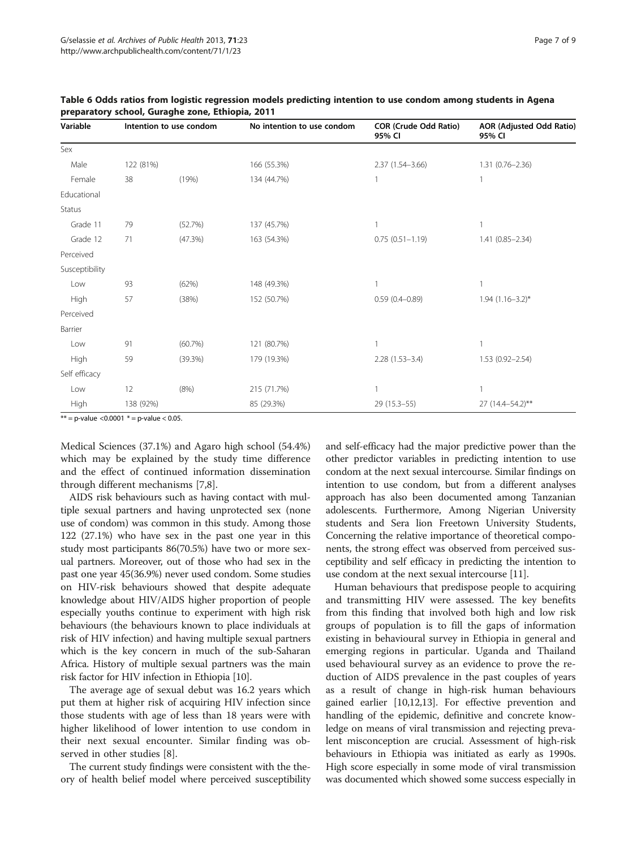| Variable       | Intention to use condom |         |             |                     | No intention to use condom | <b>COR (Crude Odd Ratio)</b><br>95% CI | AOR (Adjusted Odd Ratio)<br>95% CI |
|----------------|-------------------------|---------|-------------|---------------------|----------------------------|----------------------------------------|------------------------------------|
| Sex            |                         |         |             |                     |                            |                                        |                                    |
| Male           | 122 (81%)               |         | 166 (55.3%) | $2.37(1.54 - 3.66)$ | $1.31(0.76 - 2.36)$        |                                        |                                    |
| Female         | 38                      | (19%)   | 134 (44.7%) |                     |                            |                                        |                                    |
| Educational    |                         |         |             |                     |                            |                                        |                                    |
| <b>Status</b>  |                         |         |             |                     |                            |                                        |                                    |
| Grade 11       | 79                      | (52.7%) | 137 (45.7%) |                     |                            |                                        |                                    |
| Grade 12       | 71                      | (47.3%) | 163 (54.3%) | $0.75(0.51 - 1.19)$ | $1.41(0.85 - 2.34)$        |                                        |                                    |
| Perceived      |                         |         |             |                     |                            |                                        |                                    |
| Susceptibility |                         |         |             |                     |                            |                                        |                                    |
| Low            | 93                      | (62%)   | 148 (49.3%) |                     |                            |                                        |                                    |
| High           | 57                      | (38%)   | 152 (50.7%) | $0.59(0.4 - 0.89)$  | $1.94$ (1.16-3.2)*         |                                        |                                    |
| Perceived      |                         |         |             |                     |                            |                                        |                                    |
| Barrier        |                         |         |             |                     |                            |                                        |                                    |
| Low            | 91                      | (60.7%) | 121 (80.7%) |                     |                            |                                        |                                    |
| High           | 59                      | (39.3%) | 179 (19.3%) | $2.28(1.53 - 3.4)$  | $1.53(0.92 - 2.54)$        |                                        |                                    |
| Self efficacy  |                         |         |             |                     |                            |                                        |                                    |
| Low            | 12                      | (8%)    | 215 (71.7%) |                     |                            |                                        |                                    |
| High           | 138 (92%)               |         | 85 (29.3%)  | 29 (15.3-55)        | 27 (14.4-54.2)**           |                                        |                                    |

<span id="page-6-0"></span>Table 6 Odds ratios from logistic regression models predicting intention to use condom among students in Agena preparatory school, Guraghe zone, Ethiopia, 2011

 $**$  = p-value < 0.0001  $*$  = p-value < 0.05.

Medical Sciences (37.1%) and Agaro high school (54.4%) which may be explained by the study time difference and the effect of continued information dissemination through different mechanisms [\[7](#page-7-0)[,8](#page-8-0)].

AIDS risk behaviours such as having contact with multiple sexual partners and having unprotected sex (none use of condom) was common in this study. Among those 122 (27.1%) who have sex in the past one year in this study most participants 86(70.5%) have two or more sexual partners. Moreover, out of those who had sex in the past one year 45(36.9%) never used condom. Some studies on HIV-risk behaviours showed that despite adequate knowledge about HIV/AIDS higher proportion of people especially youths continue to experiment with high risk behaviours (the behaviours known to place individuals at risk of HIV infection) and having multiple sexual partners which is the key concern in much of the sub-Saharan Africa. History of multiple sexual partners was the main risk factor for HIV infection in Ethiopia [[10](#page-8-0)].

The average age of sexual debut was 16.2 years which put them at higher risk of acquiring HIV infection since those students with age of less than 18 years were with higher likelihood of lower intention to use condom in their next sexual encounter. Similar finding was observed in other studies [[8\]](#page-8-0).

The current study findings were consistent with the theory of health belief model where perceived susceptibility and self-efficacy had the major predictive power than the other predictor variables in predicting intention to use condom at the next sexual intercourse. Similar findings on intention to use condom, but from a different analyses approach has also been documented among Tanzanian adolescents. Furthermore, Among Nigerian University students and Sera lion Freetown University Students, Concerning the relative importance of theoretical components, the strong effect was observed from perceived susceptibility and self efficacy in predicting the intention to use condom at the next sexual intercourse [[11](#page-8-0)].

Human behaviours that predispose people to acquiring and transmitting HIV were assessed. The key benefits from this finding that involved both high and low risk groups of population is to fill the gaps of information existing in behavioural survey in Ethiopia in general and emerging regions in particular. Uganda and Thailand used behavioural survey as an evidence to prove the reduction of AIDS prevalence in the past couples of years as a result of change in high-risk human behaviours gained earlier [\[10,12,13](#page-8-0)]. For effective prevention and handling of the epidemic, definitive and concrete knowledge on means of viral transmission and rejecting prevalent misconception are crucial. Assessment of high-risk behaviours in Ethiopia was initiated as early as 1990s. High score especially in some mode of viral transmission was documented which showed some success especially in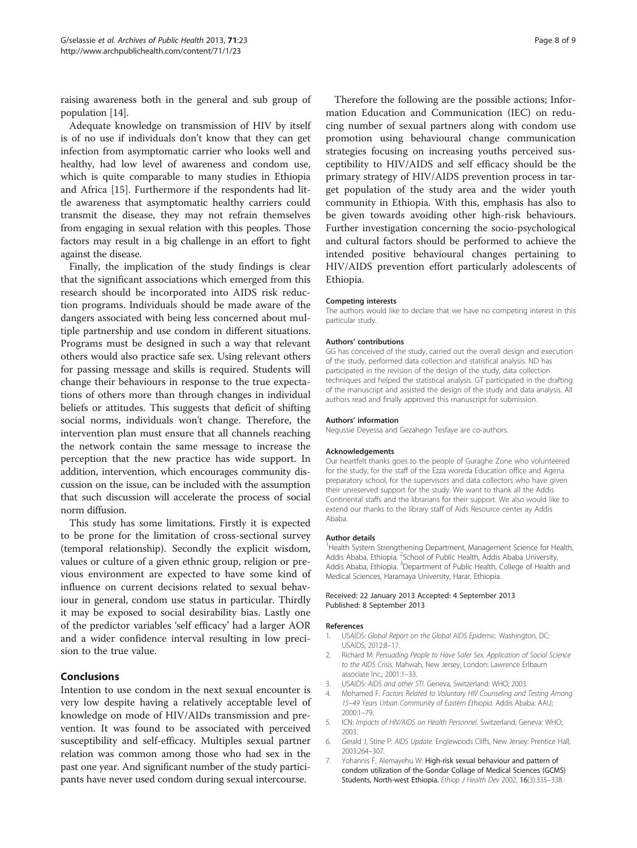<span id="page-7-0"></span>raising awareness both in the general and sub group of population [[14](#page-8-0)].

Adequate knowledge on transmission of HIV by itself is of no use if individuals don't know that they can get infection from asymptomatic carrier who looks well and healthy, had low level of awareness and condom use, which is quite comparable to many studies in Ethiopia and Africa [[15\]](#page-8-0). Furthermore if the respondents had little awareness that asymptomatic healthy carriers could transmit the disease, they may not refrain themselves from engaging in sexual relation with this peoples. Those factors may result in a big challenge in an effort to fight against the disease.

Finally, the implication of the study findings is clear that the significant associations which emerged from this research should be incorporated into AIDS risk reduction programs. Individuals should be made aware of the dangers associated with being less concerned about multiple partnership and use condom in different situations. Programs must be designed in such a way that relevant others would also practice safe sex. Using relevant others for passing message and skills is required. Students will change their behaviours in response to the true expectations of others more than through changes in individual beliefs or attitudes. This suggests that deficit of shifting social norms, individuals won't change. Therefore, the intervention plan must ensure that all channels reaching the network contain the same message to increase the perception that the new practice has wide support. In addition, intervention, which encourages community discussion on the issue, can be included with the assumption that such discussion will accelerate the process of social norm diffusion.

This study has some limitations. Firstly it is expected to be prone for the limitation of cross-sectional survey (temporal relationship). Secondly the explicit wisdom, values or culture of a given ethnic group, religion or previous environment are expected to have some kind of influence on current decisions related to sexual behaviour in general, condom use status in particular. Thirdly it may be exposed to social desirability bias. Lastly one of the predictor variables 'self efficacy' had a larger AOR and a wider confidence interval resulting in low precision to the true value.

# Conclusions

Intention to use condom in the next sexual encounter is very low despite having a relatively acceptable level of knowledge on mode of HIV/AIDs transmission and prevention. It was found to be associated with perceived susceptibility and self-efficacy. Multiples sexual partner relation was common among those who had sex in the past one year. And significant number of the study participants have never used condom during sexual intercourse.

Therefore the following are the possible actions; Information Education and Communication (IEC) on reducing number of sexual partners along with condom use promotion using behavioural change communication strategies focusing on increasing youths perceived susceptibility to HIV/AIDS and self efficacy should be the primary strategy of HIV/AIDS prevention process in target population of the study area and the wider youth community in Ethiopia. With this, emphasis has also to be given towards avoiding other high-risk behaviours. Further investigation concerning the socio-psychological and cultural factors should be performed to achieve the intended positive behavioural changes pertaining to HIV/AIDS prevention effort particularly adolescents of Ethiopia.

#### Competing interests

The authors would like to declare that we have no competing interest in this particular study.

#### Authors' contributions

GG has conceived of the study, carried out the overall design and execution of the study, performed data collection and statistical analysis. ND has participated in the revision of the design of the study, data collection techniques and helped the statistical analysis. GT participated in the drafting of the manuscript and assisted the design of the study and data analysis. All authors read and finally approved this manuscript for submission.

#### Authors' information

Negussie Deyessa and Gezahegn Tesfaye are co-authors.

#### Acknowledgements

Our heartfelt thanks goes to the people of Guraghe Zone who volunteered for the study, for the staff of the Ezza woreda Education office and Agena preparatory school, for the supervisors and data collectors who have given their unreserved support for the study. We want to thank all the Addis Continental staffs and the librarians for their support. We also would like to extend our thanks to the library staff of Aids Resource center ay Addis Ababa.

#### Author details

<sup>1</sup>Health System Strengthening Department, Management Science for Health Addis Ababa, Ethiopia. <sup>2</sup>School of Public Health, Addis Ababa University Addis Ababa, Ethiopia. <sup>3</sup>Department of Public Health, College of Health and Medical Sciences, Haramaya University, Harar, Ethiopia.

#### Received: 22 January 2013 Accepted: 4 September 2013 Published: 8 September 2013

#### References

- 1. USAIDS: Global Report on the Global AIDS Epidemic. Washington, DC: USAIDS; 2012:8–17.
- 2. Richard M: Persuading People to Have Safer Sex. Application of Social Science to the AIDS Crisis. Mahwah, New Jersey, London: Lawrence Erlbaum associate Inc.; 2001:1–33.
- 3. USAIDS: AIDS and other STI. Geneva, Switzerland: WHO; 2003.
- 4. Mohamed F: Factors Related to Voluntary HIV Counseling and Testing Among 15–49 Years Urban Community of Eastern Ethiopia. Addis Ababa: AAU; 2000:1–79.
- 5. ICN: Impacts of HIV/AIDS on Health Personnel. Switzerland, Geneva: WHO; 2003.
- 6. Gerald J, Stine P: AIDS Update. Englewoods Cliffs, New Jersey: Prentice Hall; 2003:264–307.
- 7. Yohannis F, Alemayehu W: High-risk sexual behaviour and pattern of condom utilization of the Gondar Collage of Medical Sciences (GCMS) Students, North-west Ethiopia. Ethiop J Health Dev 2002, 16(3):335-338.